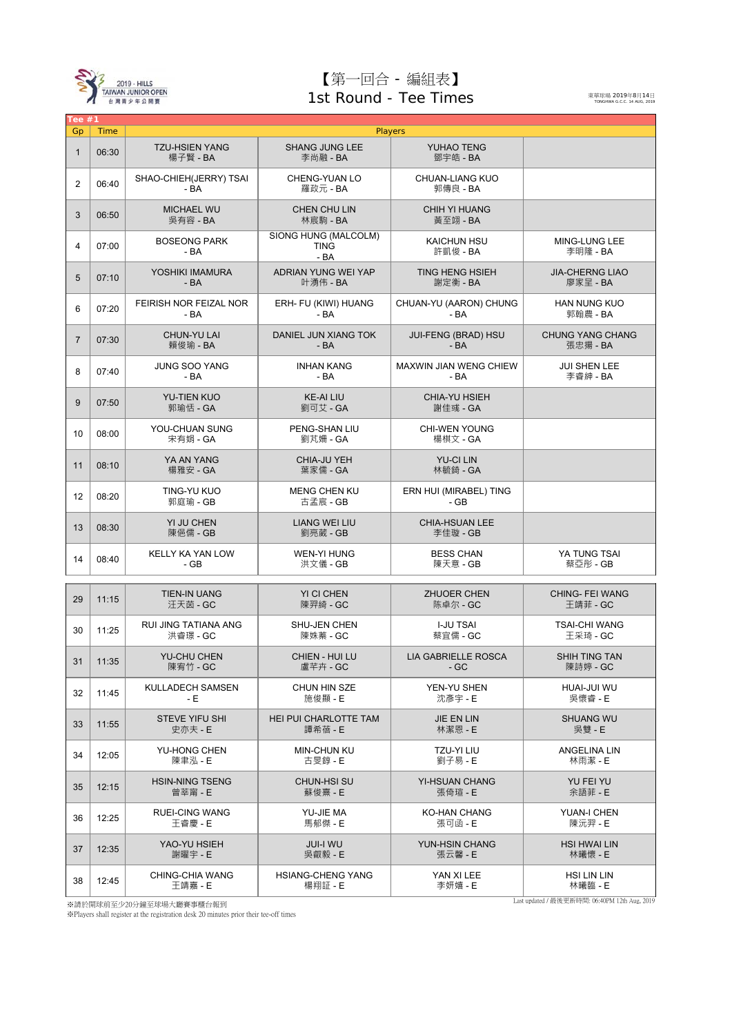

## 【第一回合 - 編組表】 1st Round - Tee Times

東華球場 2019年8月14日<br>TONGHWA G.C.C. 14 AUG, 2019

|                | Tee $#1$ |                                   |                                              |                                       |                                     |  |  |  |  |  |
|----------------|----------|-----------------------------------|----------------------------------------------|---------------------------------------|-------------------------------------|--|--|--|--|--|
| Gp             |          | Players<br>Time                   |                                              |                                       |                                     |  |  |  |  |  |
| $\mathbf{1}$   | 06:30    | <b>TZU-HSIEN YANG</b><br>楊子賢 - BA | <b>SHANG JUNG LEE</b><br>李尚融 - BA            | YUHAO TENG<br>鄧宇皓 - BA                |                                     |  |  |  |  |  |
| $\overline{2}$ | 06:40    | SHAO-CHIEH(JERRY) TSAI<br>$-BA$   | CHENG-YUAN LO<br>羅政元 - BA                    | <b>CHUAN-LIANG KUO</b><br>郭傳良 - BA    |                                     |  |  |  |  |  |
| 3              | 06:50    | <b>MICHAEL WU</b><br>吳有容 - BA     | CHEN CHU LIN<br>林宸駒 - BA                     | <b>CHIH YI HUANG</b><br>黃至翊 - BA      |                                     |  |  |  |  |  |
| $\overline{4}$ | 07:00    | <b>BOSEONG PARK</b><br>$-BA$      | SIONG HUNG (MALCOLM)<br><b>TING</b><br>$-BA$ | <b>KAICHUN HSU</b><br>許凱俊 - BA        | MING-LUNG LEE<br>李明隆 - BA           |  |  |  |  |  |
| 5              | 07:10    | YOSHIKI IMAMURA<br>$-BA$          | ADRIAN YUNG WEI YAP<br>叶湧伟 - BA              | <b>TING HENG HSIEH</b><br>謝定衡 - BA    | <b>JIA-CHERNG LIAO</b><br>廖家呈 - BA  |  |  |  |  |  |
| 6              | 07:20    | FEIRISH NOR FEIZAL NOR<br>$-BA$   | ERH- FU (KIWI) HUANG<br>- BA                 | CHUAN-YU (AARON) CHUNG<br>- BA        | <b>HAN NUNG KUO</b><br>郭翰農 - BA     |  |  |  |  |  |
| $\overline{7}$ | 07:30    | <b>CHUN-YU LAI</b><br>賴俊瑜 - BA    | DANIEL JUN XIANG TOK<br>$-BA$                | JUI-FENG (BRAD) HSU<br>$-BA$          | <b>CHUNG YANG CHANG</b><br>張忠揚 - BA |  |  |  |  |  |
| 8              | 07:40    | <b>JUNG SOO YANG</b><br>$-BA$     | <b>INHAN KANG</b><br>$-BA$                   | <b>MAXWIN JIAN WENG CHIEW</b><br>- BA | <b>JUI SHEN LEE</b><br>李睿紳 - BA     |  |  |  |  |  |
| 9              | 07:50    | <b>YU-TIEN KUO</b><br>郭瑜恬 - GA    | <b>KE-AI LIU</b><br>劉可艾 - GA                 | <b>CHIA-YU HSIEH</b><br>謝佳彧 - GA      |                                     |  |  |  |  |  |
| 10             | 08:00    | YOU-CHUAN SUNG<br>宋有娟 - GA        | PENG-SHAN LIU<br>劉芃姍 - GA                    | <b>CHI-WEN YOUNG</b><br>楊棋文 - GA      |                                     |  |  |  |  |  |
| 11             | 08:10    | YA AN YANG<br>楊雅安 - GA            | CHIA-JU YEH<br>葉家儒 - GA                      | <b>YU-CI LIN</b><br>林毓錡 - GA          |                                     |  |  |  |  |  |
| 12             | 08:20    | TING-YU KUO<br>郭庭瑜 - GB           | <b>MENG CHEN KU</b><br>古孟宸 - GB              | ERN HUI (MIRABEL) TING<br>- GB        |                                     |  |  |  |  |  |
| 13             | 08:30    | YI JU CHEN<br>陳俋儒 - GB            | <b>LIANG WEI LIU</b><br>劉亮葳 - GB             | <b>CHIA-HSUAN LEE</b><br>李佳璇 - GB     |                                     |  |  |  |  |  |
| 14             | 08:40    | KELLY KA YAN LOW<br>- GB          | <b>WEN-YI HUNG</b><br>洪文儀 - GB               | <b>BESS CHAN</b><br>陳天意 - GB          | YA TUNG TSAI<br>蔡亞彤 - GB            |  |  |  |  |  |
|                |          |                                   |                                              |                                       |                                     |  |  |  |  |  |
| 29             | 11:15    | <b>TIEN-IN UANG</b><br>汪天茵 - GC   | YI CI CHEN<br>陳羿綺 - GC                       | ZHUOER CHEN<br>陈卓尔 - GC               | <b>CHING- FEI WANG</b><br>王靖菲 - GC  |  |  |  |  |  |
| 30             | 11:25    | RUI JING TATIANA ANG<br>洪睿璟 - GC  | SHU-JEN CHEN<br>陳姝蓁 - GC                     | <b>I-JU TSAI</b><br>蔡宜儒 - GC          | <b>TSAI-CHI WANG</b><br>王采琦 - GC    |  |  |  |  |  |
| 31             | 11:35    | <b>YU-CHU CHEN</b><br>陳宥竹 - GC    | <b>CHIEN - HUI LU</b><br>盧芊卉 - GC            | <b>LIA GABRIELLE ROSCA</b><br>- GC    | <b>SHIH TING TAN</b><br>陳詩婷 - GC    |  |  |  |  |  |
| 32             | 11:45    | KULLADECH SAMSEN<br>- E           | CHUN HIN SZE<br>施俊顯 - E                      | YEN-YU SHEN<br>沈彥宇 - E                | HUAI-JUI WU<br>吳懷睿 - E              |  |  |  |  |  |
| 33             | 11:55    | <b>STEVE YIFU SHI</b><br>史亦夫 - E  | <b>HEI PUI CHARLOTTE TAM</b><br>譚希蓓 - E      | <b>JIE EN LIN</b><br>林潔恩 - E          | <b>SHUANG WU</b><br>吳雙 - E          |  |  |  |  |  |
| 34             | 12:05    | YU-HONG CHEN<br>陳聿泓 - E           | <b>MIN-CHUN KU</b><br>古旻錞 - E                | TZU-YI LIU<br>劉子易 - E                 | <b>ANGELINA LIN</b><br>林雨潔 - E      |  |  |  |  |  |
| 35             | 12:15    | <b>HSIN-NING TSENG</b><br>曾莘甯 - E | <b>CHUN-HSI SU</b><br>蘇俊熹 - E                | <b>YI-HSUAN CHANG</b><br>張倚瑄 - E      | YU FEI YU<br>余語菲 - E                |  |  |  |  |  |
| 36             | 12:25    | <b>RUEI-CING WANG</b><br>王睿慶 - E  | YU-JIE MA<br>馬郁傑 - E                         | <b>KO-HAN CHANG</b><br>張可函 - E        | YUAN-I CHEN<br>陳沅羿 - E              |  |  |  |  |  |
| 37             | 12:35    | YAO-YU HSIEH<br>謝曜宇 - E           | <b>JUI-I WU</b><br>吳叡毅 - E                   | YUN-HSIN CHANG<br>張云馨 - E             | <b>HSI HWAI LIN</b><br>林曦懷 - E      |  |  |  |  |  |
| 38             | 12:45    | CHING-CHIA WANG<br>王靖嘉 - E        | <b>HSIANG-CHENG YANG</b><br>楊翔証 - E          | YAN XI LEE<br>李妍嬉 - E                 | <b>HSI LIN LIN</b><br>林曦臨 - E       |  |  |  |  |  |

※請於開球前至少20分鐘至球場大廳賽事櫃台報到

※Players shall register at the registration desk 20 minutes prior their tee-off times

<u>|</u><br>| Last updated / 最後更新時間: 06:40PM 12th Aug, 2019